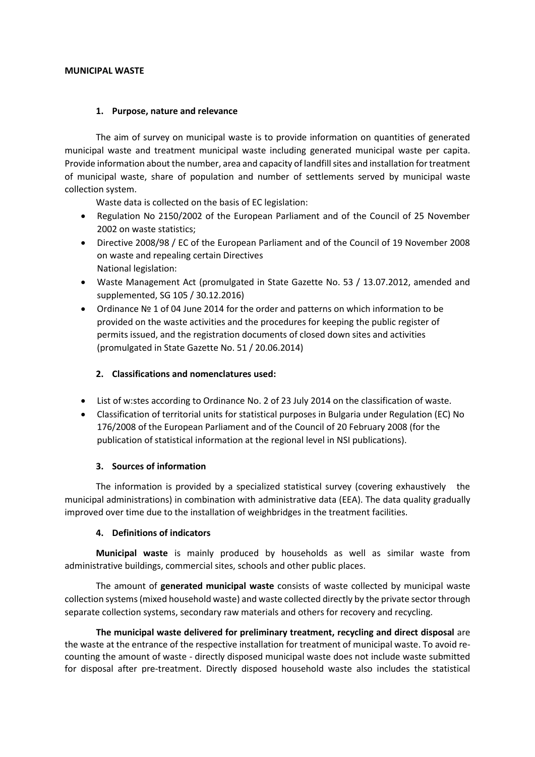#### **MUNICIPAL WASTE**

### **1. Purpose, nature and relevance**

The aim of survey on municipal waste is to provide information on quantities of generated municipal waste and treatment municipal waste including generated municipal waste per capita. Provide information about the number, area and capacity of landfill sites and installation for treatment of municipal waste, share of population and number of settlements served by municipal waste collection system.

Waste data is collected on the basis of EC legislation:

- Regulation No 2150/2002 of the European Parliament and of the Council of 25 November 2002 on waste statistics;
- Directive 2008/98 / EC of the European Parliament and of the Council of 19 November 2008 on waste and repealing certain Directives National legislation:
- Waste Management Act (promulgated in State Gazette No. 53 / 13.07.2012, amended and supplemented, SG 105 / 30.12.2016)
- Ordinance № 1 of 04 June 2014 for the order and patterns on which information to be provided on the waste activities and the procedures for keeping the public register of permits issued, and the registration documents of closed down sites and activities (promulgated in State Gazette No. 51 / 20.06.2014)

## **2. Classifications and nomenclatures used:**

- List of w:stes according to Ordinance No. 2 of 23 July 2014 on the classification of waste.
- Classification of territorial units for statistical purposes in Bulgaria under Regulation (EC) No 176/2008 of the European Parliament and of the Council of 20 February 2008 (for the publication of statistical information at the regional level in NSI publications).

### **3. Sources of information**

The information is provided by a specialized statistical survey (covering exhaustively the municipal administrations) in combination with administrative data (EEA). The data quality gradually improved over time due to the installation of weighbridges in the treatment facilities.

### **4. Definitions of indicators**

**Municipal waste** is mainly produced by households as well as similar waste from administrative buildings, commercial sites, schools and other public places.

The amount of **generated municipal waste** consists of waste collected by municipal waste collection systems (mixed household waste) and waste collected directly by the private sector through separate collection systems, secondary raw materials and others for recovery and recycling.

 **The municipal waste delivered for preliminary treatment, recycling and direct disposal** are the waste at the entrance of the respective installation for treatment of municipal waste. To avoid recounting the amount of waste - directly disposed municipal waste does not include waste submitted for disposal after pre-treatment. Directly disposed household waste also includes the statistical